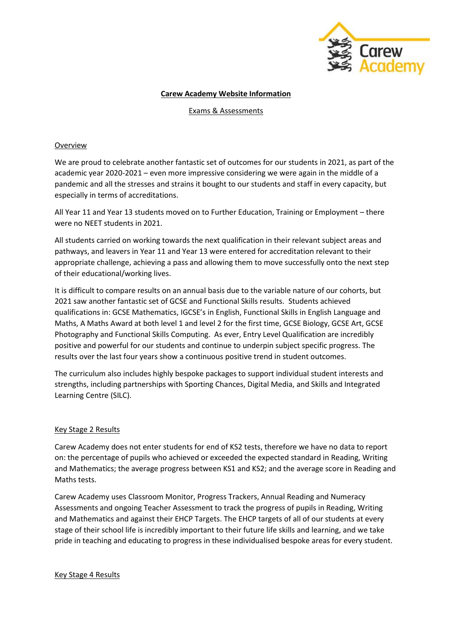

## **Carew Academy Website Information**

Exams & Assessments

# Overview

We are proud to celebrate another fantastic set of outcomes for our students in 2021, as part of the academic year 2020-2021 – even more impressive considering we were again in the middle of a pandemic and all the stresses and strains it bought to our students and staff in every capacity, but especially in terms of accreditations.

All Year 11 and Year 13 students moved on to Further Education, Training or Employment – there were no NEET students in 2021.

All students carried on working towards the next qualification in their relevant subject areas and pathways, and leavers in Year 11 and Year 13 were entered for accreditation relevant to their appropriate challenge, achieving a pass and allowing them to move successfully onto the next step of their educational/working lives.

It is difficult to compare results on an annual basis due to the variable nature of our cohorts, but 2021 saw another fantastic set of GCSE and Functional Skills results. Students achieved qualifications in: GCSE Mathematics, IGCSE's in English, Functional Skills in English Language and Maths, A Maths Award at both level 1 and level 2 for the first time, GCSE Biology, GCSE Art, GCSE Photography and Functional Skills Computing. As ever, Entry Level Qualification are incredibly positive and powerful for our students and continue to underpin subject specific progress. The results over the last four years show a continuous positive trend in student outcomes.

The curriculum also includes highly bespoke packages to support individual student interests and strengths, including partnerships with Sporting Chances, Digital Media, and Skills and Integrated Learning Centre (SILC).

## Key Stage 2 Results

Carew Academy does not enter students for end of KS2 tests, therefore we have no data to report on: the percentage of pupils who achieved or exceeded the expected standard in Reading, Writing and Mathematics; the average progress between KS1 and KS2; and the average score in Reading and Maths tests.

Carew Academy uses Classroom Monitor, Progress Trackers, Annual Reading and Numeracy Assessments and ongoing Teacher Assessment to track the progress of pupils in Reading, Writing and Mathematics and against their EHCP Targets. The EHCP targets of all of our students at every stage of their school life is incredibly important to their future life skills and learning, and we take pride in teaching and educating to progress in these individualised bespoke areas for every student.

Key Stage 4 Results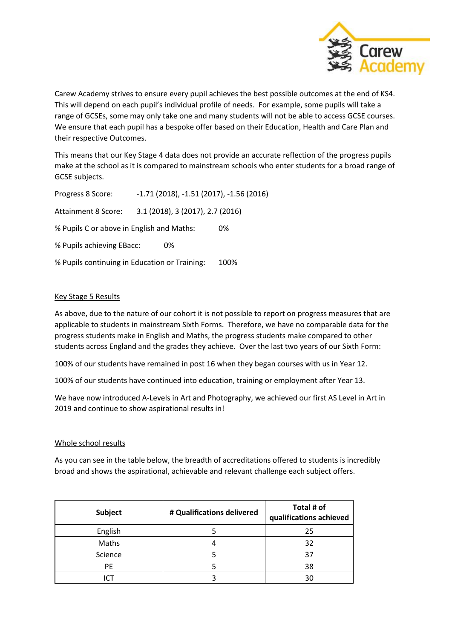

Carew Academy strives to ensure every pupil achieves the best possible outcomes at the end of KS4. This will depend on each pupil's individual profile of needs. For example, some pupils will take a range of GCSEs, some may only take one and many students will not be able to access GCSE courses. We ensure that each pupil has a bespoke offer based on their Education, Health and Care Plan and their respective Outcomes.

This means that our Key Stage 4 data does not provide an accurate reflection of the progress pupils make at the school as it is compared to mainstream schools who enter students for a broad range of GCSE subjects.

Progress 8 Score: -1.71 (2018), -1.51 (2017), -1.56 (2016) Attainment 8 Score: 3.1 (2018), 3 (2017), 2.7 (2016) % Pupils C or above in English and Maths: 0% % Pupils achieving EBacc: 0% % Pupils continuing in Education or Training: 100%

## Key Stage 5 Results

As above, due to the nature of our cohort it is not possible to report on progress measures that are applicable to students in mainstream Sixth Forms. Therefore, we have no comparable data for the progress students make in English and Maths, the progress students make compared to other students across England and the grades they achieve. Over the last two years of our Sixth Form:

100% of our students have remained in post 16 when they began courses with us in Year 12.

100% of our students have continued into education, training or employment after Year 13.

We have now introduced A-Levels in Art and Photography, we achieved our first AS Level in Art in 2019 and continue to show aspirational results in!

### Whole school results

As you can see in the table below, the breadth of accreditations offered to students is incredibly broad and shows the aspirational, achievable and relevant challenge each subject offers.

| Subject | # Qualifications delivered | Total # of<br>qualifications achieved |
|---------|----------------------------|---------------------------------------|
| English |                            | 25                                    |
| Maths   |                            | 32                                    |
| Science |                            |                                       |
| PF      |                            | 38                                    |
|         |                            |                                       |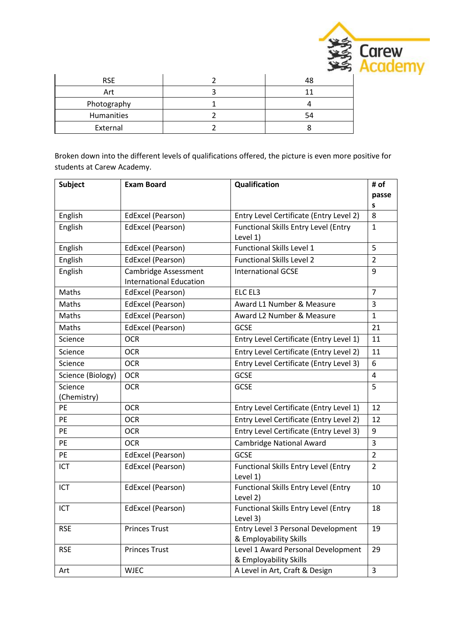

| <b>RSE</b>  |  |
|-------------|--|
| Art         |  |
| Photography |  |
| Humanities  |  |
| External    |  |

Broken down into the different levels of qualifications offered, the picture is even more positive for students at Carew Academy.

| <b>Subject</b>    | <b>Exam Board</b>                                             | Qualification                                                | # of<br>passe  |
|-------------------|---------------------------------------------------------------|--------------------------------------------------------------|----------------|
|                   |                                                               |                                                              | S              |
| English           | EdExcel (Pearson)                                             | Entry Level Certificate (Entry Level 2)                      | 8              |
| English           | EdExcel (Pearson)                                             | <b>Functional Skills Entry Level (Entry</b>                  | $\mathbf{1}$   |
| English           | EdExcel (Pearson)                                             | Level 1)<br><b>Functional Skills Level 1</b>                 | 5              |
|                   |                                                               | <b>Functional Skills Level 2</b>                             | $\overline{2}$ |
| English           | EdExcel (Pearson)                                             |                                                              |                |
| English           | <b>Cambridge Assessment</b><br><b>International Education</b> | <b>International GCSE</b>                                    | 9              |
| Maths             | EdExcel (Pearson)                                             | ELC EL3                                                      | $\overline{7}$ |
| Maths             | EdExcel (Pearson)                                             | Award L1 Number & Measure                                    | $\overline{3}$ |
| Maths             | EdExcel (Pearson)                                             | Award L2 Number & Measure                                    | $\mathbf{1}$   |
| Maths             | EdExcel (Pearson)                                             | <b>GCSE</b>                                                  | 21             |
| Science           | <b>OCR</b>                                                    | Entry Level Certificate (Entry Level 1)                      | 11             |
| Science           | <b>OCR</b>                                                    | Entry Level Certificate (Entry Level 2)                      | 11             |
| Science           | <b>OCR</b>                                                    | Entry Level Certificate (Entry Level 3)                      | 6              |
| Science (Biology) | <b>OCR</b>                                                    | <b>GCSE</b>                                                  | 4              |
| Science           | <b>OCR</b>                                                    | <b>GCSE</b>                                                  | 5              |
| (Chemistry)       |                                                               |                                                              |                |
| PE.               | <b>OCR</b>                                                    | Entry Level Certificate (Entry Level 1)                      | 12             |
| <b>PE</b>         | <b>OCR</b>                                                    | Entry Level Certificate (Entry Level 2)                      | 12             |
| <b>PE</b>         | <b>OCR</b>                                                    | Entry Level Certificate (Entry Level 3)                      | 9              |
| PE                | <b>OCR</b>                                                    | Cambridge National Award                                     | 3              |
| <b>PE</b>         | EdExcel (Pearson)                                             | <b>GCSE</b>                                                  | 2              |
| ICT               | EdExcel (Pearson)                                             | <b>Functional Skills Entry Level (Entry</b><br>Level 1)      | $\overline{2}$ |
| ICT               | EdExcel (Pearson)                                             | <b>Functional Skills Entry Level (Entry</b><br>Level 2)      | 10             |
| <b>ICT</b>        | EdExcel (Pearson)                                             | <b>Functional Skills Entry Level (Entry</b><br>Level 3)      | 18             |
| <b>RSE</b>        | <b>Princes Trust</b>                                          | Entry Level 3 Personal Development<br>& Employability Skills | 19             |
| <b>RSE</b>        | <b>Princes Trust</b>                                          | Level 1 Award Personal Development<br>& Employability Skills | 29             |
| Art               | <b>WJEC</b>                                                   | A Level in Art, Craft & Design                               | $\overline{3}$ |